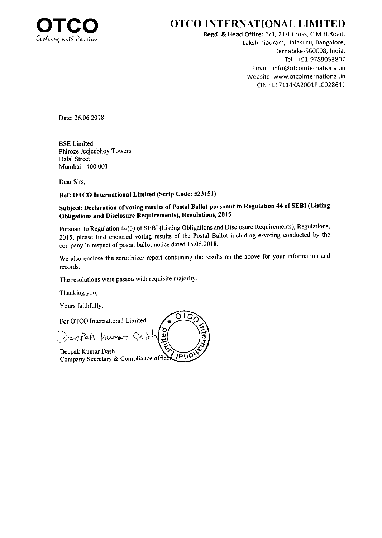

### **OTCO INTERNATIONAL LIMITED**

Regd. & Head Office: 1/1, 21st Cross, C.M.H.Road, Lakshmipuram, Halasuru, Bangalore, Karnataka-560008, India. Tel: +91-9789053807 Email: info@otcointernational.in Website: www.otcointernational.in CIN · L17114KA2001PLC028611

Date: 26.06.2018

**BSE Limited** Phiroze Jeejeebhoy Towers Dalal Street Mumbai - 400 001

Dear Sirs.

### Ref: OTCO International Limited (Scrip Code: 523151)

### Subject: Declaration of voting results of Postal Ballot pursuant to Regulation 44 of SEBI (Listing Obligations and Disclosure Requirements), Regulations, 2015

Pursuant to Regulation 44(3) of SEBI (Listing Obligations and Disclosure Requirements), Regulations, 2015, please find enclosed voting results of the Postal Ballot including e-voting conducted by the company in respect of postal ballot notice dated 15.05.2018.

We also enclose the scrutinizer report containing the results on the above for your information and records.

OTO

 $\mathbf{Q}$ 

The resolutions were passed with requisite majority.

Thanking you,

Yours faithfully,

For OTCO International Limited

Deepah humore 201

Deepak Kumar Dash  $\sqrt{\text{pu0}}$ Company Secretary & Compliance office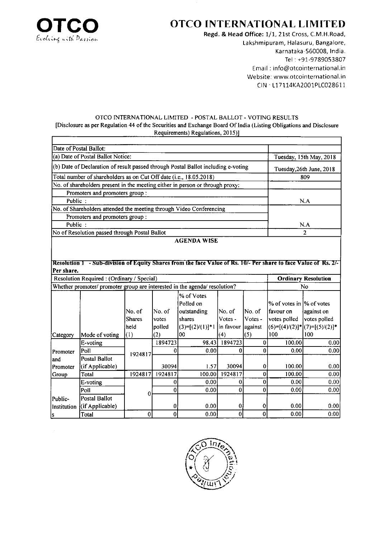

r

## OTCO INTERNATIONAL LIMITED

Regd. & Head Office: 1/1, 21st Cross, C.M.H.Road, Lakshmipuram, Halasuru, Bangalore, Karnataka-560008, India. Tel : +91-9789053807 Email : info@otcointernational.in Website: www.otcointernational.in clN 117114KA2001P1C02861 <sup>1</sup>

#### OTCO TNTERNATIONAL LIMITED - POSTAL BALLOT - VOTINC RESULTS [Disclosure as per Regulation 44 of the Securities and Exchange Board Of India (Listing Obligations and Disclosure Requirements) Regulations, 2015)]

|                                                                                   | Date of Postal Ballot:                                                                                          |               |         |                                |              |              |                                      |                                     |  |
|-----------------------------------------------------------------------------------|-----------------------------------------------------------------------------------------------------------------|---------------|---------|--------------------------------|--------------|--------------|--------------------------------------|-------------------------------------|--|
| (a) Date of Postal Ballot Notice:                                                 |                                                                                                                 |               |         |                                |              |              | Tuesday, 15th May, 2018              |                                     |  |
| (b) Date of Declaration of result passed through Postal Ballot including e-voting |                                                                                                                 |               |         |                                |              |              |                                      | Tuesday, 26th June, 2018            |  |
|                                                                                   | Total number of shareholders as on Cut Off date (i.e., 18.05.2018)                                              | 809           |         |                                |              |              |                                      |                                     |  |
|                                                                                   | No. of shareholders present in the meeting either in person or through proxy:                                   |               |         |                                |              |              |                                      |                                     |  |
|                                                                                   | Promoters and promoters group:                                                                                  |               |         |                                |              |              |                                      |                                     |  |
| Public:                                                                           |                                                                                                                 |               | N.A     |                                |              |              |                                      |                                     |  |
|                                                                                   | No. of Shareholders attended the meeting through Video Conferencing                                             |               |         |                                |              |              |                                      |                                     |  |
|                                                                                   | Promoters and promoters group :                                                                                 |               |         |                                |              |              |                                      |                                     |  |
| Public:                                                                           |                                                                                                                 |               |         |                                |              |              |                                      | N.A                                 |  |
|                                                                                   | No of Resolution passed through Postal Ballot                                                                   |               |         |                                |              |              |                                      | $\overline{2}$                      |  |
|                                                                                   |                                                                                                                 |               |         | <b>AGENDA WISE</b>             |              |              |                                      |                                     |  |
|                                                                                   |                                                                                                                 |               |         |                                |              |              |                                      |                                     |  |
|                                                                                   | Resolution 1 - Sub-division of Equity Shares from the face Value of Rs. 10/- Per share to face Value of Rs. 2/- |               |         |                                |              |              |                                      |                                     |  |
| Per share.                                                                        |                                                                                                                 |               |         |                                |              |              |                                      |                                     |  |
|                                                                                   | Resolution Required: (Ordinary / Special)                                                                       |               |         |                                |              |              |                                      | <b>Ordinary Resolution</b>          |  |
|                                                                                   | Whether promoter/ promoter group are interested in the agenda/ resolution?                                      |               |         |                                |              |              |                                      | No                                  |  |
|                                                                                   |                                                                                                                 |               |         | % of Votes                     |              |              |                                      |                                     |  |
|                                                                                   |                                                                                                                 |               |         | Polled on                      |              |              | % of votes in $\frac{1}{6}$ of votes |                                     |  |
|                                                                                   |                                                                                                                 | No. of        | No. of  | outstanding                    | No. of       | No. of       | favour on                            | against on                          |  |
|                                                                                   |                                                                                                                 | <b>Shares</b> | votes   | shares                         | Votes -      | Votes -      | votes polled                         | votes polled                        |  |
|                                                                                   |                                                                                                                 | held          | polled  | $(3)=[(2)/(1)]^{*1}$ in favour |              | against      |                                      | $(6)=[(4)/(2)]$ * $(7)=[(5)/(2)]$ * |  |
| Category                                                                          | Mode of voting                                                                                                  | (1)           | (2)     | 00                             | (4)          | (5)          | 100                                  | 100                                 |  |
|                                                                                   | E-voting                                                                                                        |               | 1894723 | 98.43                          | 1894723      | $\bf{0}$     | 100.00                               | 0.00                                |  |
| Promoter                                                                          | Poll                                                                                                            | 1924817       | 0       | 0.00                           | 0            | $\mathbf{0}$ | 0.00                                 | 0.00                                |  |
| and                                                                               | <b>Postal Ballot</b>                                                                                            |               |         |                                |              |              |                                      |                                     |  |
| Promoter                                                                          | (if Applicable)                                                                                                 |               | 30094   | 1.57                           | 30094        | 0            | 100.00                               | 0.00                                |  |
| Group                                                                             | Total                                                                                                           | 1924817       | 1924817 | 100.00                         | 1924817      | $\mathbf 0$  | 100.00                               | 0.00                                |  |
|                                                                                   | E-voting                                                                                                        |               | 0       | 0.00                           | 0            | $\bf{0}$     | 0.00                                 | 0.00                                |  |
|                                                                                   | Poll                                                                                                            | 0             | 0       | 0.00                           | $\mathbf{0}$ | 0            | 0.00                                 | 0.00                                |  |
| Public-                                                                           | <b>Postal Ballot</b>                                                                                            |               |         |                                |              |              |                                      |                                     |  |
| Institution                                                                       | (if Applicable)                                                                                                 |               | 0       | 0.00                           | 0            | 0            | 0.00                                 | 0.00                                |  |
| s                                                                                 | Total                                                                                                           | $\bf{0}$      | 0       | 0.00                           | $\mathbf 0$  | 0            | 0.00                                 | 0.00                                |  |

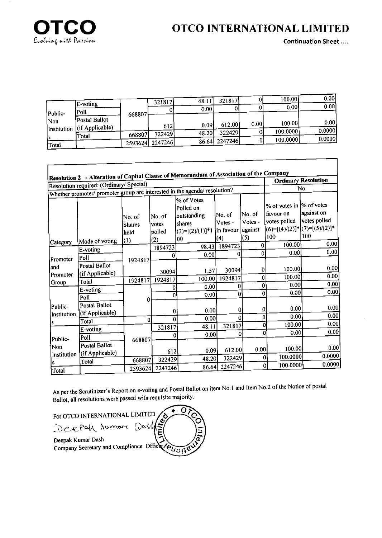

## **OTCO INTERNATIONAL LIMITED**

**Continuation Sheet....** 

٦

| E-voting |                                                     | 321817 | 48.11   | 321817                        |      | 100.001                  | 0.00<br>0.00                   |
|----------|-----------------------------------------------------|--------|---------|-------------------------------|------|--------------------------|--------------------------------|
| Poll     | 668807                                              |        |         |                               |      |                          |                                |
|          |                                                     | 612    | 0.09    | 612.00                        | 0.00 | 100.00                   | 0.00                           |
|          |                                                     |        | 48.20   |                               |      |                          | 0.0000                         |
|          |                                                     |        |         |                               |      |                          | 0.0000                         |
|          | Postal Ballot<br>$\int (if \, Applicable)$<br>Total | 668807 | 2593624 | 0.00<br>322429<br>$'$ 2247246 |      | 322429<br>86.64  2247246 | 0.001<br>100.0000)<br>100.0000 |

|                               | Resolution 2 - Alteration of Capital Clause of Memorandum of Association of the Company<br>Resolution required: (Ordinary/ Special) |                                 |                           |                                                                        |                                 |                              |                                                                                                 | <b>Ordinary Resolution</b> |
|-------------------------------|-------------------------------------------------------------------------------------------------------------------------------------|---------------------------------|---------------------------|------------------------------------------------------------------------|---------------------------------|------------------------------|-------------------------------------------------------------------------------------------------|----------------------------|
|                               | Whether promoter/ promoter group are interested in the agenda/ resolution?                                                          |                                 |                           |                                                                        |                                 |                              |                                                                                                 | No                         |
|                               |                                                                                                                                     | No. of<br><b>Shares</b><br>held | No. of<br>votes<br>polled | % of Votes<br>Polled on<br>outstanding<br>shares<br>$(3)=[(2)/(1)]$ *l | lNo. of<br>Votes -<br>in favour | No. of<br>Votes -<br>against | % of votes in  % of votes<br>favour on<br>votes polled<br>$(6)=[(4)/(2)]^{*}[(7)=[(5)/(2)]^{*}$ | against on<br>votes polled |
| Category                      | Mode of voting                                                                                                                      | (1)                             | (2)                       | 100                                                                    | (4)                             | (5)                          | 100                                                                                             | 100<br>0.00                |
|                               | E-voting                                                                                                                            |                                 | 1894723                   | 98.43                                                                  | 1894723                         | 0                            | 100.00                                                                                          | 0.00                       |
| Promoter                      | Poll                                                                                                                                |                                 | 0                         | 0.00                                                                   | 0                               | $\mathbf{0}$                 | 0.00                                                                                            |                            |
| land<br>Promoter              | Postal Ballot<br>(if Applicable)                                                                                                    | 1924817                         | 30094                     | 1.57                                                                   | 30094                           | $\mathbf 0$                  | 100.00                                                                                          | 0.00                       |
| Group                         | Total                                                                                                                               | 1924817                         | 1924817                   | 100.00                                                                 | 1924817                         | 0                            | 100.00                                                                                          | 0.00                       |
|                               | E-voting                                                                                                                            |                                 | 0                         | 0.00                                                                   | $\bf{0}$                        | $\bf{0}$                     | 0.00                                                                                            | 0.00                       |
| Public-<br>Institution        | Poll                                                                                                                                |                                 | $\bf{0}$                  | 0.00                                                                   | $\Omega$                        | $\Omega$                     | 0.00                                                                                            | 0.00                       |
|                               | Postal Ballot<br>(if Applicable)                                                                                                    | $\Omega$                        | 0                         | 0.00                                                                   | 0                               | 0 <br>$\bf{0}$               | 0.00<br>0.00                                                                                    | 0.00<br>0.00               |
|                               | Total                                                                                                                               | $\overline{0}$                  | $\Omega$                  | 0.00                                                                   | $\mathbf{0}$                    | $\Omega$                     | 100.00                                                                                          | 0.00                       |
| Public-<br>Non<br>Institution | E-voting                                                                                                                            |                                 | 321817                    | 48.11                                                                  | 321817                          | 0                            | 0.00                                                                                            | 0.00                       |
|                               | Poll                                                                                                                                | 668807                          | 0                         | 0.00                                                                   | 0                               |                              |                                                                                                 |                            |
|                               | Postal Ballot<br>(if Applicable)                                                                                                    |                                 | 612                       | 0.09                                                                   | 612.00                          | 0.00                         | 100.00                                                                                          | 0.00                       |
|                               | Total                                                                                                                               | 668807                          | 322429                    | 48.20                                                                  | 322429                          | 0                            | 100.0000                                                                                        | 0.0000                     |
| Total                         |                                                                                                                                     | 2593624                         | 2247246                   | 86.64                                                                  | 2247246                         | 0                            | 100.0000                                                                                        | 0.0000                     |

As per the Scrutinizer's Report on e-voting and Postal Ballot on item No.1 and Item No.2 of the Notice of postal Ballot, all resolutions were passed with requisite majority.

> r 5

ခ်

O)

 $\bullet$ 

For OTCO INTERNATIONAL LIMITED

Deepak humore Dash Deepak Kumar Dash Company Secretary and Compliance Officer 200118

**Imile**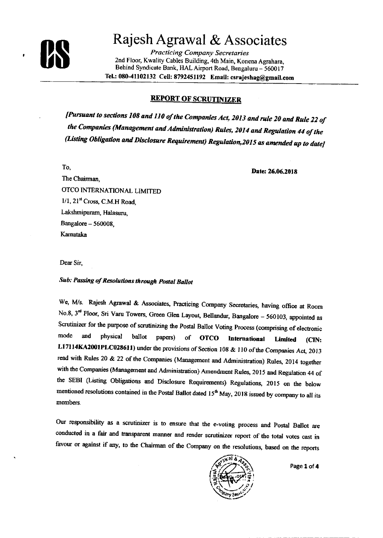

 $\pmb{\cdot}$ 

# Rajesh Agrawal & Associates

**Practicing Company Secretaries** 2nd Floor, Kwality Cables Building, 4th Main, Konena Agrahara, Behind Syndicate Bank, HAL Airport Road, Bengaluru - 560017 Tel.: 080-41102132 Cell: 8792451192 Email: csrajeshag@gmail.com

### **REPORT OF SCRUTINIZER**

[Pursuant to sections 108 and 110 of the Companies Act, 2013 and rule 20 and Rule 22 of the Companies (Management and Administration) Rules, 2014 and Regulation 44 of the (Listing Obligation and Disclosure Requirement) Regulation, 2015 as amended up to date)

To.

Date: 26.06.2018

The Chairman, OTCO INTERNATIONAL LIMITED  $1/1$ ,  $21<sup>st</sup>$  Cross, C.M.H Road. Lakshmipuram, Halasuru, Bangalore - 560008, Karnataka

Dear Sir,

### Sub: Passing of Resolutions through Postal Ballot

We, M/s. Rajesh Agrawal & Associates, Practicing Company Secretaries, having office at Room No.8, 3<sup>rd</sup> Floor, Sri Varu Towers, Green Glen Layout, Bellandur, Bangalore - 560103, appointed as Scrutinizer for the purpose of scrutinizing the Postal Ballot Voting Process (comprising of electronic mode and physical ballot papers) of **OTCO** International **Limited** (CIN: L17114KA2001PLC028611) under the provisions of Section 108 & 110 of the Companies Act, 2013 read with Rules 20 & 22 of the Companies (Management and Administration) Rules, 2014 together with the Companies (Management and Administration) Amendment Rules, 2015 and Regulation 44 of the SEBI (Listing Obligations and Disclosure Requirements) Regulations, 2015 on the below mentioned resolutions contained in the Postal Ballot dated 15<sup>th</sup> May, 2018 issued by company to all its members.

Our responsibility as a scrutinizer is to ensure that the e-voting process and Postal Ballot are conducted in a fair and transparent manner and render scrutinizer report of the total votes cast in favour or against if any, to the Chairman of the Company on the resolutions, based on the reports



Page 1 of 4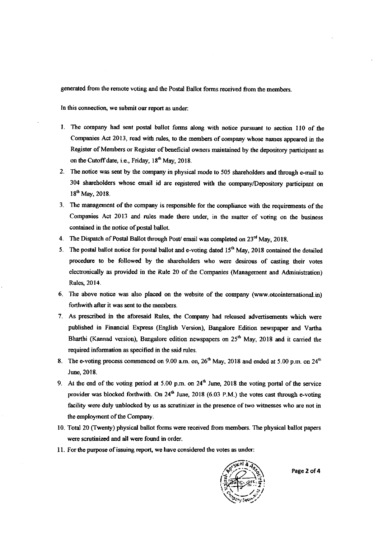generated from the remote voting and the Postal Ballot forms received from the members.

In this connection, we submit our report as under:

- l. The company had sent postal ballot forms along with notice pursuart to section ll0 of the Companies Act 2013, read with rules, to the members of company whose names appeared in the Register of Members or Register of beneficial owners maintained by the depository participant as on the Cutoff date, i.e., Friday, 18<sup>th</sup> May, 2018.
- 2. The notice was sent by the company in physical mode to 505 shareholders and through e-mail to 304 shareholders whose email id are registered with the company/Depository participant on  $18^{th}$  May, 2018.
- 3. The management of the company is responsible for the compliance with the requirements of the Companies Act 2013 and rules made there under, in the matter of voting on the business contained in the notice of postal ballot.
- 4. The Dispatch of Postal Ballot through Post/ email was completed on  $23<sup>rd</sup>$  May, 2018.
- 5. The postal ballot notice for postal ballot and e-voting dated  $15<sup>th</sup>$  May, 2018 contained the detailed procedure to be followed by the shareholders who were desirous of casting their votes electronically as provided in the Rule 20 of the Companies (Management and Administration) Rules 2014.
- 6. The above notice was also placed on the website of the company (www.otcointernational.in) forthwith after it was sent to the members.
- 7. As prescribed in the aforesaid Rules, the Conpaay had released advertisernents which were published in Financial Express (English Version), Bangalore Edition newspaper and Vartha Bharthi (Kannad version), Bangalore edition newspapers on  $25<sup>th</sup>$  May, 2018 and it carried the required information as specified in the said rules.
- 8. The e-voting process commenced on 9.00 a.m. on,  $26<sup>th</sup>$  May, 2018 and ended at 5.00 p.m. on  $24<sup>th</sup>$ June, 2018.
- 9. At the end of the voting period at 5.00 p.m. on  $24<sup>th</sup>$  June, 2018 the voting portal of the service provider was blocked forthwith. On  $24<sup>th</sup>$  June, 2018 (6.03 P.M.) the votes cast through e-voting facility were duly unblocked by us as scrutinizer in the presence of two witnesses who are not in the employment of the Company.
- 10. Total 20 Cfwenty) physical ballot forms were received from members. The physical ballot papers were scrutinized and all were found in order.
- 11. For the purpose of issuing report, we have considered the votes as under:



Page 2 of 4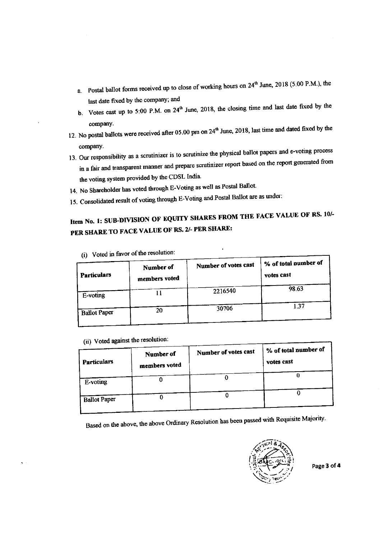- a. Postal ballot forms received up to close of working hours on  $24<sup>th</sup>$  June, 2018 (5.00 P.M.), the last date fixed by the company; and
- b. Votes cast up to 5:00 P.M. on  $24<sup>th</sup>$  June, 2018, the closing time and last date fixed by the
- company.<br>12. No postal ballots were received after 05.00 pm on 24<sup>th</sup> June, 2018, last time and dated fixed by the company.
- 13. Our responsibility as a scrutinizer is to scrutinize the physical ballot papers and e-voting process in a fair and transparent manner and prepare scrutinizer report based on the report generated from the voting system provided by the CDSL India.
- 14. No Shareholder has voted through E-Voting as well as Postal Ballot.
- 15. Consolidated result of voting through E-Voting and Postal Ballot are as under:

## Item No. 1: SUB-DIVISION OF EQUITY SHARES FROM THE FACE VALUE OF RS. 10/-PER SHARE TO FACE VALUE OF RS. 2/- PER SHARE:

 $\overline{1}$ 

| Particulars         | Number of<br>members voted | Number of votes cast | % of total number of<br>votes cast |
|---------------------|----------------------------|----------------------|------------------------------------|
| E-voting            |                            | 2216540              | 98.63                              |
| <b>Ballot Paper</b> | 20                         | 30706                | 1.37                               |
|                     |                            |                      |                                    |

(i) Voted in favor of the resolution:

(ii) Voted against the resolution:

| <b>Particulars</b>  | Number of<br>members voted | Number of votes cast | % of total number of<br>votes cast |
|---------------------|----------------------------|----------------------|------------------------------------|
| E-voting            |                            |                      |                                    |
| <b>Ballot Paper</b> |                            |                      |                                    |

Based on the above, the above Ordinary Resolution has been passed with Requisite Majority.



Page 3 of 4